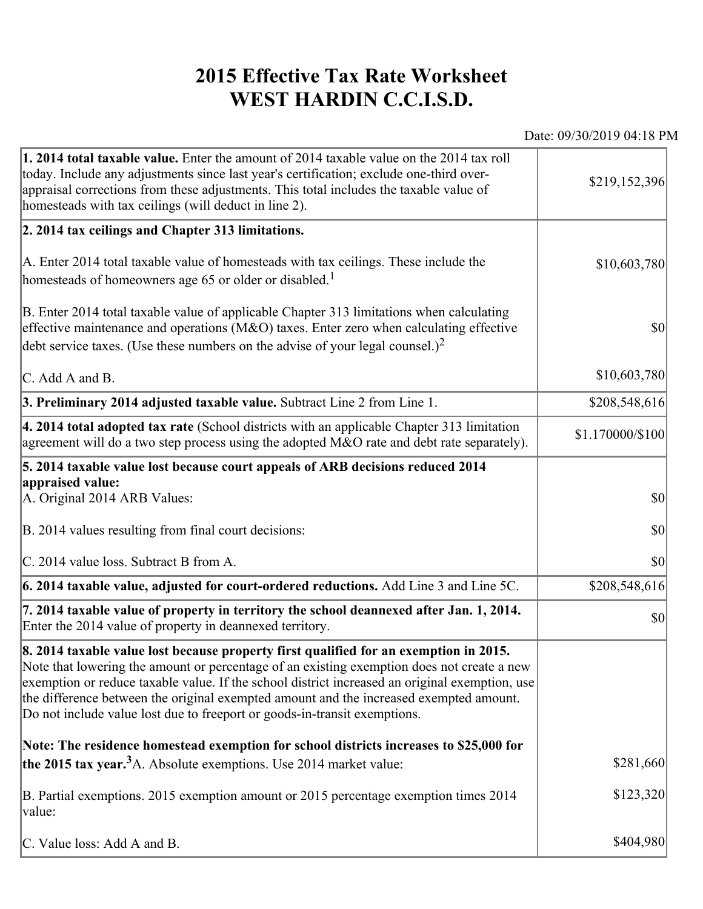## **2015 Effective Tax Rate Worksheet WEST HARDIN C.C.I.S.D.**

Date: 09/30/2019 04:18 PM

| 1. 2014 total taxable value. Enter the amount of 2014 taxable value on the 2014 tax roll<br>today. Include any adjustments since last year's certification; exclude one-third over-<br>appraisal corrections from these adjustments. This total includes the taxable value of<br>homesteads with tax ceilings (will deduct in line 2).                                                                                                                       | \$219,152,396    |
|--------------------------------------------------------------------------------------------------------------------------------------------------------------------------------------------------------------------------------------------------------------------------------------------------------------------------------------------------------------------------------------------------------------------------------------------------------------|------------------|
| 2. 2014 tax ceilings and Chapter 313 limitations.                                                                                                                                                                                                                                                                                                                                                                                                            |                  |
| A. Enter 2014 total taxable value of homesteads with tax ceilings. These include the<br>homesteads of homeowners age 65 or older or disabled. <sup>1</sup>                                                                                                                                                                                                                                                                                                   | \$10,603,780     |
| B. Enter 2014 total taxable value of applicable Chapter 313 limitations when calculating<br>effective maintenance and operations ( $M&O$ ) taxes. Enter zero when calculating effective<br>debt service taxes. (Use these numbers on the advise of your legal counsel.) <sup>2</sup>                                                                                                                                                                         | $ 10\rangle$     |
| $\mathcal{C}$ . Add A and B.                                                                                                                                                                                                                                                                                                                                                                                                                                 | \$10,603,780     |
| 3. Preliminary 2014 adjusted taxable value. Subtract Line 2 from Line 1.                                                                                                                                                                                                                                                                                                                                                                                     | \$208,548,616    |
| $\vert$ 4. 2014 total adopted tax rate (School districts with an applicable Chapter 313 limitation<br>agreement will do a two step process using the adopted M&O rate and debt rate separately).                                                                                                                                                                                                                                                             | \$1.170000/\$100 |
| 5. 2014 taxable value lost because court appeals of ARB decisions reduced 2014                                                                                                                                                                                                                                                                                                                                                                               |                  |
| appraised value:<br>A. Original 2014 ARB Values:                                                                                                                                                                                                                                                                                                                                                                                                             | $ 10\rangle$     |
| B. 2014 values resulting from final court decisions:                                                                                                                                                                                                                                                                                                                                                                                                         | $ 10\rangle$     |
| C. 2014 value loss. Subtract B from A.                                                                                                                                                                                                                                                                                                                                                                                                                       | $ 10\rangle$     |
| $\vert$ 6. 2014 taxable value, adjusted for court-ordered reductions. Add Line 3 and Line 5C.                                                                                                                                                                                                                                                                                                                                                                | \$208,548,616    |
| 7. 2014 taxable value of property in territory the school deannexed after Jan. 1, 2014.<br>Enter the 2014 value of property in deannexed territory.                                                                                                                                                                                                                                                                                                          | $ 10\rangle$     |
| 8. 2014 taxable value lost because property first qualified for an exemption in 2015.<br>Note that lowering the amount or percentage of an existing exemption does not create a new<br>exemption or reduce taxable value. If the school district increased an original exemption, use<br>the difference between the original exempted amount and the increased exempted amount.<br>Do not include value lost due to freeport or goods-in-transit exemptions. |                  |
| Note: The residence homestead exemption for school districts increases to \$25,000 for                                                                                                                                                                                                                                                                                                                                                                       |                  |
| the 2015 tax year. <sup>3</sup> A. Absolute exemptions. Use 2014 market value:                                                                                                                                                                                                                                                                                                                                                                               | \$281,660        |
| B. Partial exemptions. 2015 exemption amount or 2015 percentage exemption times 2014<br>value:                                                                                                                                                                                                                                                                                                                                                               | \$123,320        |
| C. Value loss: Add A and B.                                                                                                                                                                                                                                                                                                                                                                                                                                  | \$404,980        |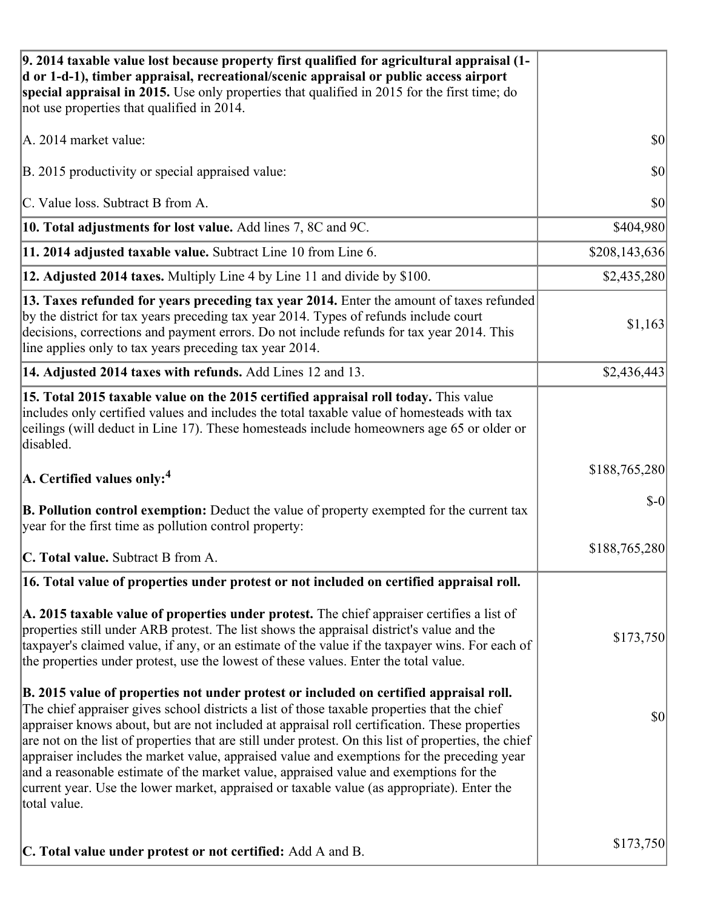| 9. 2014 taxable value lost because property first qualified for agricultural appraisal (1-<br>d or 1-d-1), timber appraisal, recreational/scenic appraisal or public access airport<br>special appraisal in 2015. Use only properties that qualified in 2015 for the first time; do<br>not use properties that qualified in 2014.                                                                                                                                                                                                                                                                                                                                                                     |               |
|-------------------------------------------------------------------------------------------------------------------------------------------------------------------------------------------------------------------------------------------------------------------------------------------------------------------------------------------------------------------------------------------------------------------------------------------------------------------------------------------------------------------------------------------------------------------------------------------------------------------------------------------------------------------------------------------------------|---------------|
| A. 2014 market value:                                                                                                                                                                                                                                                                                                                                                                                                                                                                                                                                                                                                                                                                                 | \$0           |
| B. 2015 productivity or special appraised value:                                                                                                                                                                                                                                                                                                                                                                                                                                                                                                                                                                                                                                                      | 30            |
| C. Value loss. Subtract B from A.                                                                                                                                                                                                                                                                                                                                                                                                                                                                                                                                                                                                                                                                     | \$0           |
| 10. Total adjustments for lost value. Add lines 7, 8C and 9C.                                                                                                                                                                                                                                                                                                                                                                                                                                                                                                                                                                                                                                         | \$404,980     |
| 11. 2014 adjusted taxable value. Subtract Line 10 from Line 6.                                                                                                                                                                                                                                                                                                                                                                                                                                                                                                                                                                                                                                        | \$208,143,636 |
| 12. Adjusted 2014 taxes. Multiply Line 4 by Line 11 and divide by \$100.                                                                                                                                                                                                                                                                                                                                                                                                                                                                                                                                                                                                                              | \$2,435,280   |
| 13. Taxes refunded for years preceding tax year 2014. Enter the amount of taxes refunded<br>by the district for tax years preceding tax year 2014. Types of refunds include court<br>decisions, corrections and payment errors. Do not include refunds for tax year 2014. This<br>line applies only to tax years preceding tax year 2014.                                                                                                                                                                                                                                                                                                                                                             | \$1,163       |
| 14. Adjusted 2014 taxes with refunds. Add Lines 12 and 13.                                                                                                                                                                                                                                                                                                                                                                                                                                                                                                                                                                                                                                            | \$2,436,443   |
| 15. Total 2015 taxable value on the 2015 certified appraisal roll today. This value<br>includes only certified values and includes the total taxable value of homesteads with tax<br>ceilings (will deduct in Line 17). These homesteads include homeowners age 65 or older or<br>disabled.                                                                                                                                                                                                                                                                                                                                                                                                           |               |
| $\vert$ A. Certified values only: <sup>4</sup>                                                                                                                                                                                                                                                                                                                                                                                                                                                                                                                                                                                                                                                        | \$188,765,280 |
| <b>B. Pollution control exemption:</b> Deduct the value of property exempted for the current tax<br>year for the first time as pollution control property:                                                                                                                                                                                                                                                                                                                                                                                                                                                                                                                                            | $S-0$         |
| C. Total value. Subtract B from A.                                                                                                                                                                                                                                                                                                                                                                                                                                                                                                                                                                                                                                                                    | \$188,765,280 |
| 16. Total value of properties under protest or not included on certified appraisal roll.                                                                                                                                                                                                                                                                                                                                                                                                                                                                                                                                                                                                              |               |
| A. 2015 taxable value of properties under protest. The chief appraiser certifies a list of<br>properties still under ARB protest. The list shows the appraisal district's value and the<br>taxpayer's claimed value, if any, or an estimate of the value if the taxpayer wins. For each of<br>the properties under protest, use the lowest of these values. Enter the total value.                                                                                                                                                                                                                                                                                                                    | \$173,750     |
| B. 2015 value of properties not under protest or included on certified appraisal roll.<br>The chief appraiser gives school districts a list of those taxable properties that the chief<br>appraiser knows about, but are not included at appraisal roll certification. These properties<br>are not on the list of properties that are still under protest. On this list of properties, the chief<br>appraiser includes the market value, appraised value and exemptions for the preceding year<br>and a reasonable estimate of the market value, appraised value and exemptions for the<br>current year. Use the lower market, appraised or taxable value (as appropriate). Enter the<br>total value. | \$0           |
| C. Total value under protest or not certified: Add A and B.                                                                                                                                                                                                                                                                                                                                                                                                                                                                                                                                                                                                                                           | \$173,750     |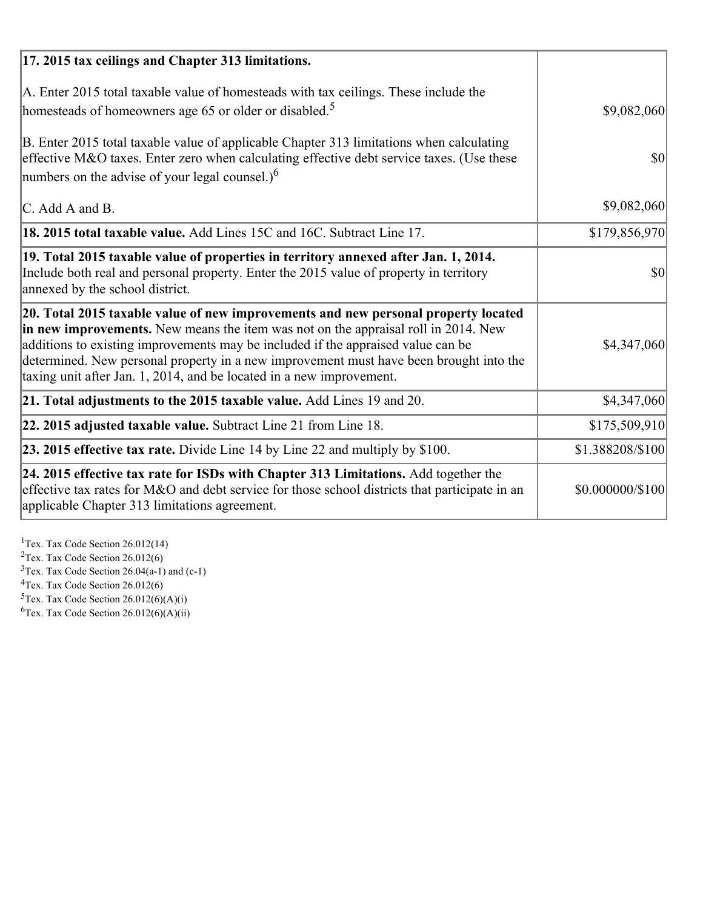| 17. 2015 tax ceilings and Chapter 313 limitations.                                                                                                                                                                                                                                                                                                                                                                             |                  |
|--------------------------------------------------------------------------------------------------------------------------------------------------------------------------------------------------------------------------------------------------------------------------------------------------------------------------------------------------------------------------------------------------------------------------------|------------------|
| A. Enter 2015 total taxable value of homesteads with tax ceilings. These include the<br>homesteads of homeowners age 65 or older or disabled. <sup>5</sup>                                                                                                                                                                                                                                                                     | \$9,082,060      |
| B. Enter 2015 total taxable value of applicable Chapter 313 limitations when calculating<br>effective M&O taxes. Enter zero when calculating effective debt service taxes. (Use these<br>numbers on the advise of your legal counsel.) <sup>6</sup>                                                                                                                                                                            | $\vert$ \$0      |
| C. Add A and B.                                                                                                                                                                                                                                                                                                                                                                                                                | \$9,082,060      |
| 18. 2015 total taxable value. Add Lines 15C and 16C. Subtract Line 17.                                                                                                                                                                                                                                                                                                                                                         | \$179,856,970    |
| 19. Total 2015 taxable value of properties in territory annexed after Jan. 1, 2014.<br>Include both real and personal property. Enter the 2015 value of property in territory<br>annexed by the school district.                                                                                                                                                                                                               | 30               |
| 20. Total 2015 taxable value of new improvements and new personal property located<br>in new improvements. New means the item was not on the appraisal roll in 2014. New<br>additions to existing improvements may be included if the appraised value can be<br>determined. New personal property in a new improvement must have been brought into the<br>taxing unit after Jan. 1, 2014, and be located in a new improvement. | \$4,347,060      |
| 21. Total adjustments to the 2015 taxable value. Add Lines 19 and 20.                                                                                                                                                                                                                                                                                                                                                          | \$4,347,060      |
| $ 22.2015$ adjusted taxable value. Subtract Line 21 from Line 18.                                                                                                                                                                                                                                                                                                                                                              | \$175,509,910    |
| <b>23. 2015 effective tax rate.</b> Divide Line 14 by Line 22 and multiply by \$100.                                                                                                                                                                                                                                                                                                                                           | \$1.388208/\$100 |
| 24. 2015 effective tax rate for ISDs with Chapter 313 Limitations. Add together the<br>effective tax rates for M&O and debt service for those school districts that participate in an<br>applicable Chapter 313 limitations agreement.                                                                                                                                                                                         | \$0.000000/\$100 |

<sup>1</sup>Tex. Tax Code Section 26.012(14)  $2$ Tex. Tax Code Section 26.012(6)  $3$ Tex. Tax Code Section 26.04(a-1) and (c-1)  $4$ Tex. Tax Code Section 26.012(6)  ${}^{5}$ Tex. Tax Code Section 26.012(6)(A)(i)

 ${}^{6}$ Tex. Tax Code Section 26.012(6)(A)(ii)